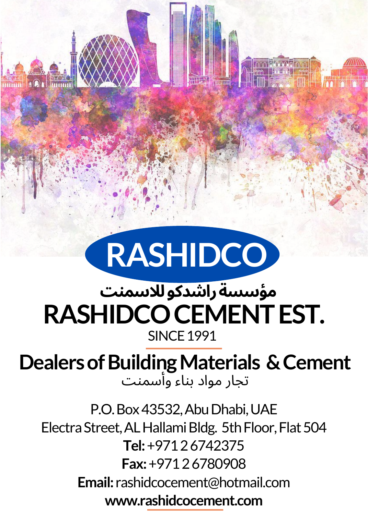

#### **RASHIDCOCEMENTEST. SINCE 1991 مؤسسةراشدكوللاسمنت**

**DealersofBuildingMaterials &Cement** تجار مواد بناء وأسمنت

P.O. Box 43532, Abu Dhabi, UAE Electra Street, AL Hallami Bldg. 5th Floor, Flat 504 **Tel:**+97126742375 **Fax:**+97126780908 **Email:** rashidcocement@hotmail.com **www.rashidcocement.com**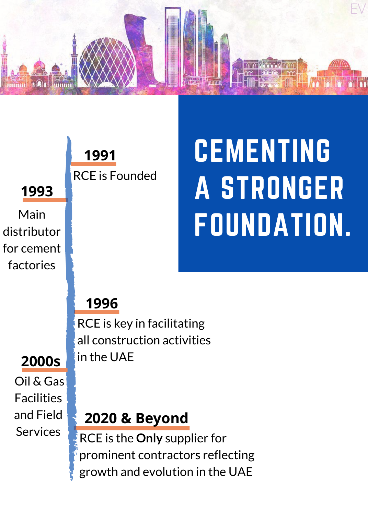



## CEMENTING A STRONGER FOUNDATION.

RCE is the **Only** supplier for prominent contractors reflecting growth and evolution in the UAE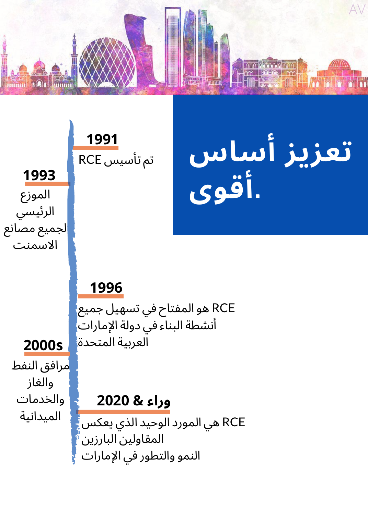

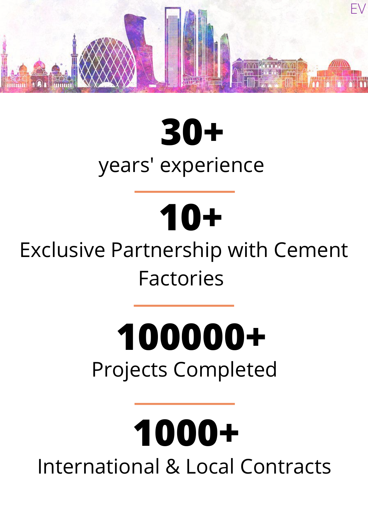

## **30+** years' experience

## **10+**

Exclusive Partnership with Cement Factories

## **100000+** Projects Completed

## **1000+** International & Local Contracts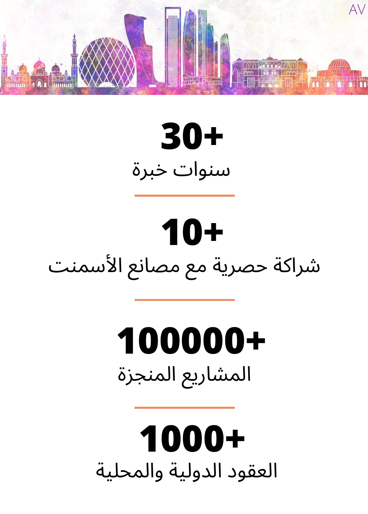

## **30+** سنوات خبرة

## **10+** شراكة حصرية مع مصانع الأسمنت

## **100000+** المشاريع المنجزة

## **1000+** العقود الدولية والمحلية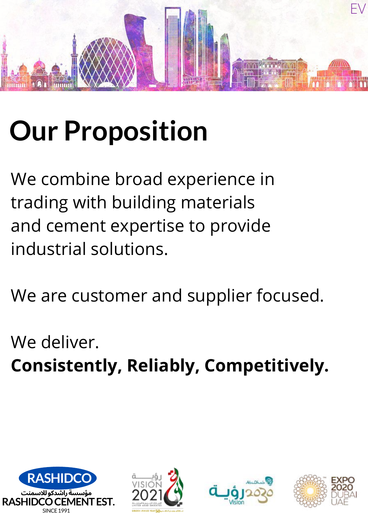

## **Our Proposition**

We combine broad experience in trading with building materials and cement expertise to provide industrial solutions.

We are customer and supplier focused.

We deliver. **Consistently, Reliably, Competitively.**







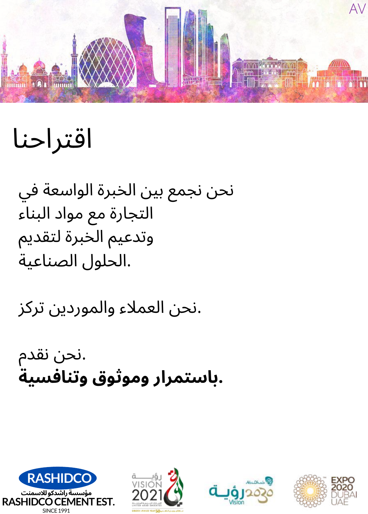

اقتراحنا

نحن نجمع بين الخبرة الواسعة في التجارة مع مواد البناء وتدعيم الخبرة لتقديم .الحلول الصناعية

.نحن العملاء والموردين تركز

.نحن نقدم **.باستمرار وموثوق وتنافسية**







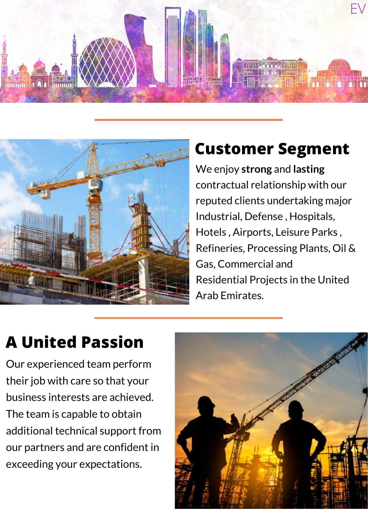



#### **Customer Segment**

We enjoy **strong** and **lasting** contractual relationship with our reputed clients undertaking major Industrial, Defense , Hospitals, Hotels , Airports, Leisure Parks , Refineries, Processing Plants, Oil & Gas, Commercial and Residential Projects in the United Arab Emirates.

#### **A United Passion**

Our experienced team perform their job with care so that your business interests are achieved. The team is capable to obtain additional technical support from our partners and are confident in exceeding your expectations.

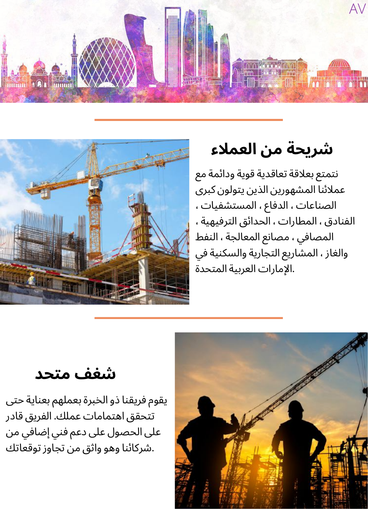



#### **شريحة من العملاء**

نتمتع بعلاقة تعاقدية قوية ودائمة مع عملائنا المشهورين الذين يتولون كبرى الصناعات ، الدفاع ، المستشفيات ، الفنادق ، المطارات ، الحدائق الترفيهية ، المصافي ، مصانع المعالجة ، النفط والغاز ، المشاريع التجارية والسكنية في .الإمارات العربية المتحدة

**شغف متحد**

يقوم فريقنا ذو الخبرة بعملهم بعناية حتى تتحقق اهتمامات عملك. الفريق قادر على الحصول على دعم فني إضافي من .شركائنا وهو واثق من تجاوز توقعاتك

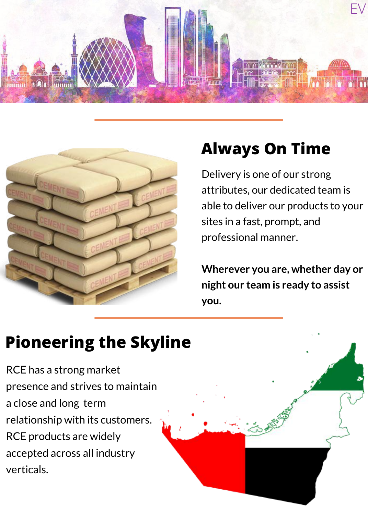



#### **Always On Time**

Delivery is one of our strong attributes, our dedicated team is able to deliver our products to your sites in a fast, prompt, and professional manner.

**Wherever you are, whether day or night our team is ready to assist you.**

#### **Pioneering the Skyline**

RCE has a strong market presence and strives to maintain a close and long term relationship with its customers. RCE products are widely accepted across all industry verticals.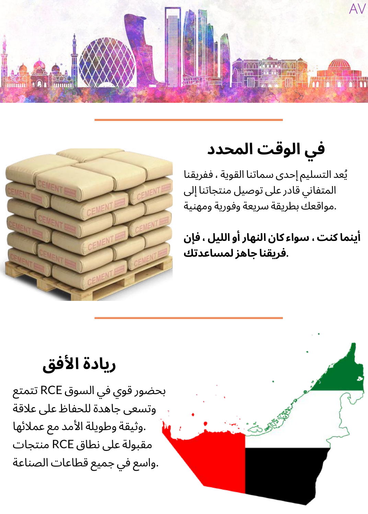



**في الوقت المحدد**

يُعد التسليم إحدى سماتنا القوية ، ففريقنا المتفاني قادر على توصيل منتجاتنا إلى .مواقعك بطريقة سريعة وفورية ومهنية

**أينما كنت ،سواء كان النهار أو الليل ، فإن .فريقنا جاهز لمساعدتك**

**ريادة الأفق**

بحضور قوي في السوق RCE تتمتع وتسعى جاهدة للحفاظ على علاقة .وثيقة وطويلة الأمد مع عملائها مقبولة على نطاق RCE منتجات .واسع في جميع قطاعات الصناعة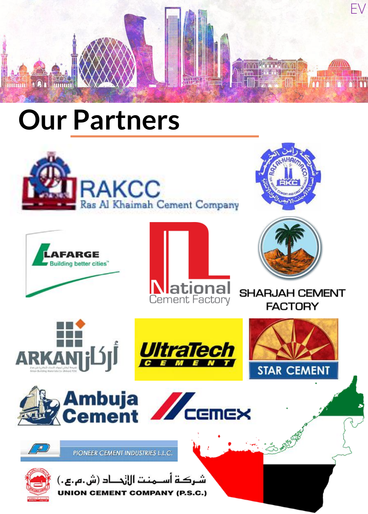

### **Our Partners**

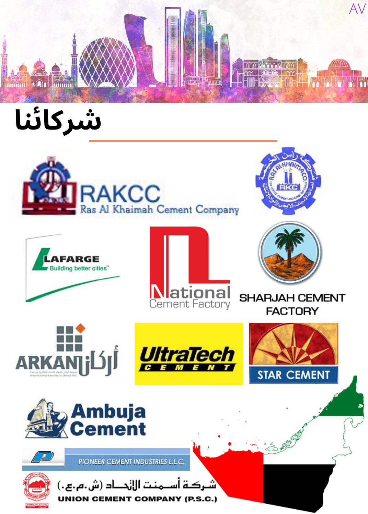

شركائنا









ـركــة أســـمـنـت اللزحـــاد (ش.م.بح.) **UNION CEMENT COMPANY (P.S.C.)**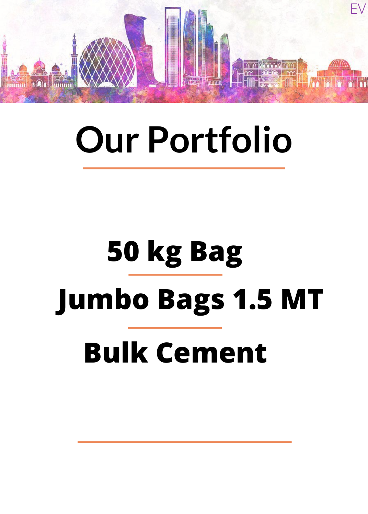

## **Our Portfolio**

# **50 kg Bag Jumbo Bags 1.5 MT Bulk Cement**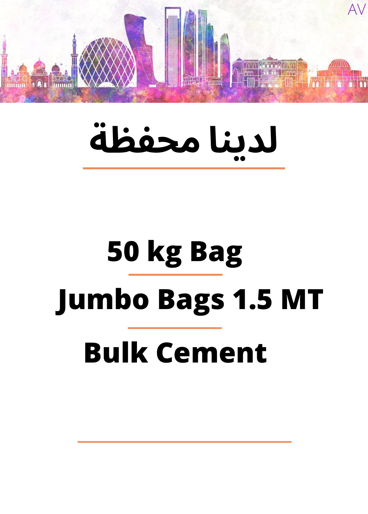

# **لدينا محفظة**

# **50 kg Bag Jumbo Bags 1.5 MT Bulk Cement**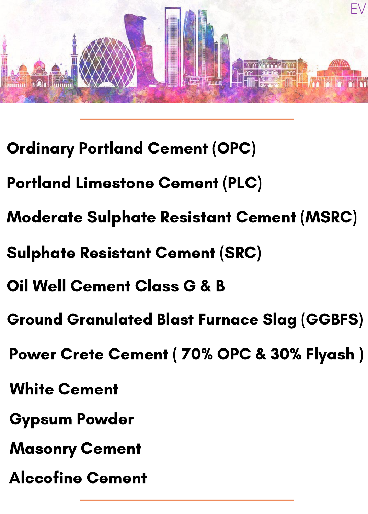

- Ordinary Portland Cement (OPC)
- Portland Limestone Cement (PLC)
- Moderate Sulphate Resistant Cement (MSRC)
- Sulphate Resistant Cement (SRC)
- Oil Well Cement Class G & B
- Ground Granulated Blast Furnace Slag (GGBFS)
- Power Crete Cement ( 70% OPC & 30% Flyash )
- White Cement
- Gypsum Powder
- Masonry Cement
- Alccofine Cement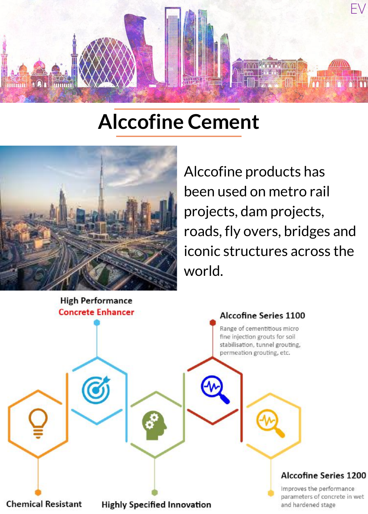

#### **Alccofine Cement**



Alccofine products has been used on metro rail projects, dam projects, roads, fly overs, bridges and iconic structures across the world.

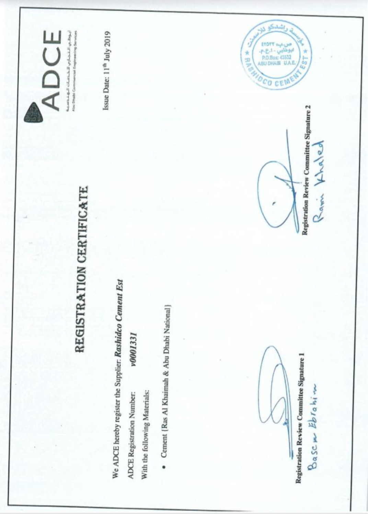

Ayamad gall Ghanachill <sub>97</sub> (4,3,21)<br>And Dealer Commercial Engineering Services

Issue Date: 11<sup>th</sup> July 2019

# REGISTRATION CERTIFICATE

We ADCE hereby register the Supplier. Rashideo Cement Est v0001331 **ADCE Registration Number:** With the following Materials:

· Cement [Ras Al Khaimah & Abu Dhabi National]

Registration Review Committee Signature 1

Bascm Ebrahim

Registration Review Committee Signature 2

Rami Khaled

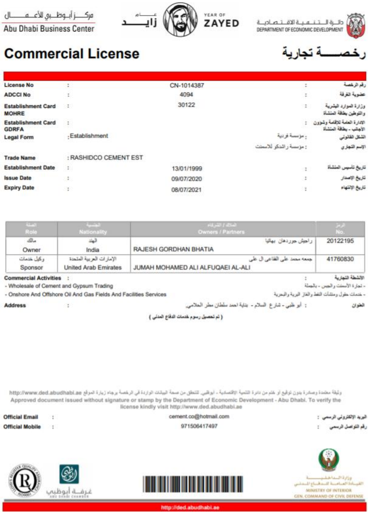مركز أبـ وظــبى الأعــــهـــــــــال

Abu Dhabi Business Center



طرة التتمية الاقتصاصة DEPARTMENT OF ECONOMIC DEVELOPMENT



#### **Commercial License**

| <b>License No</b>                         |                       | CN-1014387 |                      | رقم الرخصة                                              |
|-------------------------------------------|-----------------------|------------|----------------------|---------------------------------------------------------|
| <b>ADCCI No</b>                           | t.                    | 4094       | I.                   | عضوية الغرفة                                            |
| <b>Establishment Card</b><br><b>MOHRE</b> | - 19                  | 30122      | t                    | وزارة الموارد البشرية<br>والتوطين بطاقة العنشاة         |
| <b>Establishment Card</b><br><b>GDRFA</b> | $\ddot{z}$            |            |                      | الثدارة العلمة للاقلعة وشؤون<br>الأهالب - بطاقة المتشاة |
| <b>Legal Form</b>                         | - Establishment       |            | . مؤسسة فردية        | الشكل القانوني                                          |
|                                           |                       |            | زمزسية راشتكر للاستث | الإسم الشهارى                                           |
| <b>Trade Name</b>                         | : RASHIDCO CEMENT EST |            |                      |                                                         |
| <b>Establishment Date</b>                 | $\ddot{ }$            | 13/01/1999 | t                    | تاريخ تأسيس المثشأة                                     |
| <b>Issue Date</b>                         | $\sim$                | 09/07/2020 | 1                    | تاريخ الإصدار                                           |
| <b>Expiry Date</b>                        | $\sim$                | 08/07/2021 | ÷                    | نتاريخ الإنتهاء                                         |

| <b>CONTROL</b>               | <b>STATISTICS</b>           | <b>SUPPLY FAIRS</b>               |                  |
|------------------------------|-----------------------------|-----------------------------------|------------------|
| Role:                        | <b>Nationality</b>          | <b>Owners / Partners</b>          |                  |
| AB                           | الهثنا                      | راحيش جرردهان بهائيا              | 20122195         |
| Owner                        | India                       | RAJESH GORDHAN BHATIA             |                  |
| وكيل خنمات                   | الإمارات العربية المتحنة    | جمعه محمد على القاعي ال على       | 41760830         |
| Sponsor                      | <b>United Arab Emirates</b> | JUMAH MOHAMED ALI ALFUQAEI AL-ALI |                  |
| <b>Commercial Activities</b> |                             |                                   | الأنشطة الشهارية |

**Commercial Activities :** 

- Wholesale of Cement and Gypsum Trading

¥

- Onshore And Offshore Oil And Gas Fields And Facilities Services

**Address** 

( ثم تحصيل رسوم خدمات الدفاع العدلى )

: أبو ظبي - شترع السلام - بناية نعمد سلطان مطر الحلامي.

وتُبقة مضدة وصخرة بتون توقيع أو ختم من دائرة التثمية الأقصبانية - أيواقين. للتطق من صحة البيانات الواردة في الرخصة برجاء زيارة الموقع http://www.ded.abudhabi.ae Approved document issued without signature or stamp by the Department of Economic Development - Abu Dhabi. To verify the license kindly visit http://www.ded.abudhabi.ae

cement.co@hotmail.com **Official Email** اليوريد الإلكتروني الرسمي :  $\mathcal{L}$ **Official Mobile**  $\sim$ 971506417497 رقم التواصل الرسمى وزارة السداخشب القيساءة العنامسة للسماسية للمقاسي غرفــة أبوظبب



- تجارة الأسفت والجس - بالجلة

العقوان

- خدمات حقول ومنشأت النفط والغاز البرية والبحرية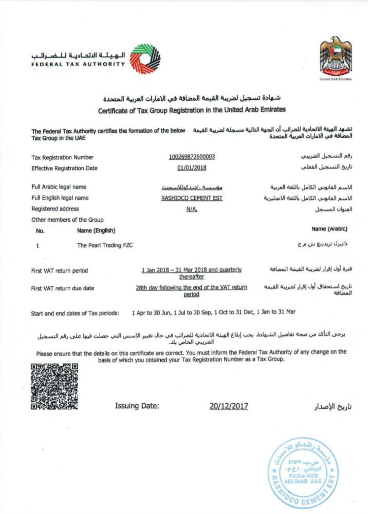



#### شهادة تسجيل لضريبة القيمة المضافة في الامارات العربية المتحدة Certificate of Tax Group Registration in the United Arab Emirates

تشهد الهيئة الاتحادية للضرائب أن الجهة التالية مسجلة لضريبة القيمة " The Federal Tax Authority certifies the formation of the below المضافة في الامارات العربية المتحدة Tax Group in the UAE

| <b>Tax Registration Number</b> |                                     | 100269872600003                                                    | رقم التسجيل الضربيعي                             |
|--------------------------------|-------------------------------------|--------------------------------------------------------------------|--------------------------------------------------|
|                                | <b>Effective Registration Date</b>  | 01/01/2018                                                         | تاريخ التسحيل الفعلى                             |
| Full Arabic legal name         |                                     | مؤسسة راشدكوللاسمنت                                                | الاسم القانوني الكامل باللغة العربية             |
| Full English legal name        |                                     | RASHIDCO CEMENT EST                                                | الاسم القانوني الكامل باللغة الانجليزية          |
| Registered address             |                                     | N/A.                                                               | العنوان المسجل                                   |
|                                | Other members of the Group          |                                                                    |                                                  |
| No.                            | Name (English)                      |                                                                    | Name (Arabic)                                    |
| $\mathbf{1}$                   | The Pearl Trading FZC               |                                                                    | ذابیرل تریدینغ ش م ح                             |
| First VAT return period        |                                     | 1 Jan 2018 - 31 Mar 2018 and quarterly<br>thereafter               | فترة أول إقرار لضربية القيمة المضافة             |
| First VAT return due date      |                                     | 28th day following the end of the VAT return<br>period             | تاريخ استحقاق أول إقرار لصربية القيمة<br>المضافة |
|                                | Start and end dates of Tax periods: | 1 Apr to 30 Jun, 1 Jul to 30 Sep, 1 Oct to 31 Dec, 1 Jan to 31 Mar |                                                  |

يرجى التأكد من صحة تفاصيل الشهادة. يجب إبلاغ الهيئة الاتحادية للضرائب في حال تغيير الاسس التي حصلت فيها على رقم التسجيل الضربيب الخاص بك.

Please ensure that the details on this certificate are correct. You must inform the Federal Tax Authority of any change on the basis of which you obtained your Tax Registration Number as a Tax Group.



**Issuing Date:** 

20/12/2017

تاريخ الإصدار

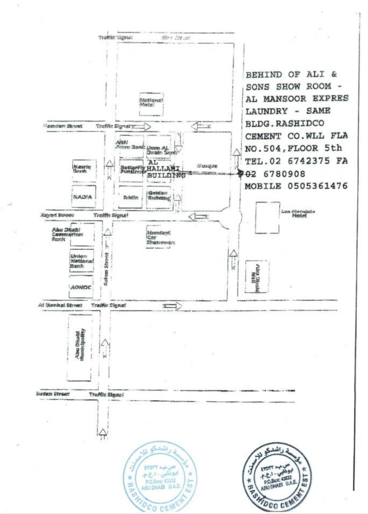